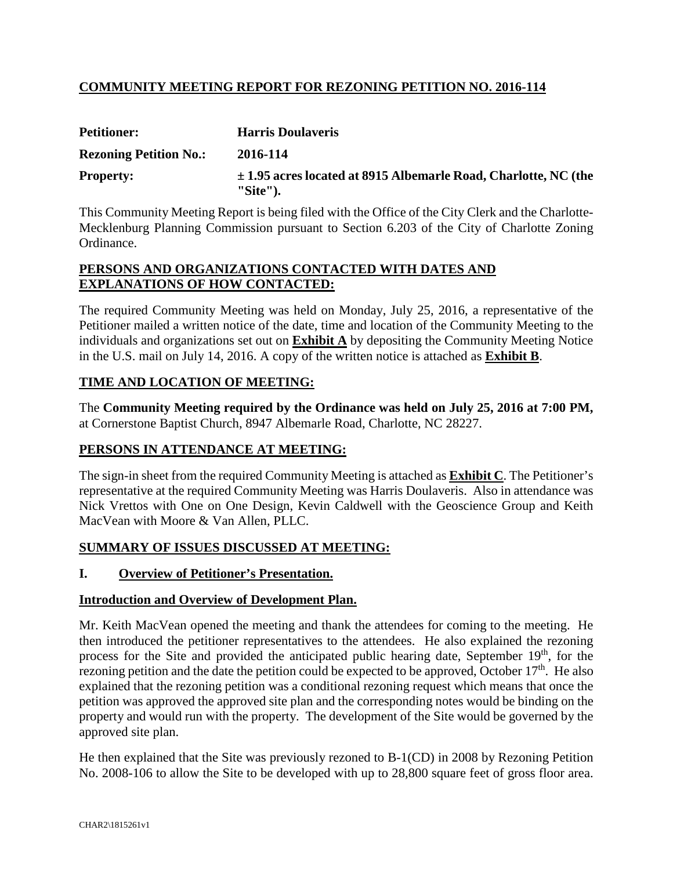# **COMMUNITY MEETING REPORT FOR REZONING PETITION NO. 2016-114**

| <b>Petitioner:</b>            | <b>Harris Doulaveris</b>                                                           |
|-------------------------------|------------------------------------------------------------------------------------|
| <b>Rezoning Petition No.:</b> | 2016-114                                                                           |
| <b>Property:</b>              | $\pm$ 1.95 acres located at 8915 Albemarle Road, Charlotte, NC (the<br>$"Site"$ ). |

This Community Meeting Report is being filed with the Office of the City Clerk and the Charlotte-Mecklenburg Planning Commission pursuant to Section 6.203 of the City of Charlotte Zoning Ordinance.

### **PERSONS AND ORGANIZATIONS CONTACTED WITH DATES AND EXPLANATIONS OF HOW CONTACTED:**

The required Community Meeting was held on Monday, July 25, 2016, a representative of the Petitioner mailed a written notice of the date, time and location of the Community Meeting to the individuals and organizations set out on **Exhibit A** by depositing the Community Meeting Notice in the U.S. mail on July 14, 2016. A copy of the written notice is attached as **Exhibit B**.

## **TIME AND LOCATION OF MEETING:**

The **Community Meeting required by the Ordinance was held on July 25, 2016 at 7:00 PM,** at Cornerstone Baptist Church, 8947 Albemarle Road, Charlotte, NC 28227.

## **PERSONS IN ATTENDANCE AT MEETING:**

The sign-in sheet from the required Community Meeting is attached as **Exhibit C**. The Petitioner's representative at the required Community Meeting was Harris Doulaveris. Also in attendance was Nick Vrettos with One on One Design, Kevin Caldwell with the Geoscience Group and Keith MacVean with Moore & Van Allen, PLLC.

## **SUMMARY OF ISSUES DISCUSSED AT MEETING:**

## **I. Overview of Petitioner's Presentation.**

### **Introduction and Overview of Development Plan.**

Mr. Keith MacVean opened the meeting and thank the attendees for coming to the meeting. He then introduced the petitioner representatives to the attendees. He also explained the rezoning process for the Site and provided the anticipated public hearing date, September 19<sup>th</sup>, for the rezoning petition and the date the petition could be expected to be approved, October  $17<sup>th</sup>$ . He also explained that the rezoning petition was a conditional rezoning request which means that once the petition was approved the approved site plan and the corresponding notes would be binding on the property and would run with the property. The development of the Site would be governed by the approved site plan.

He then explained that the Site was previously rezoned to B-1(CD) in 2008 by Rezoning Petition No. 2008-106 to allow the Site to be developed with up to 28,800 square feet of gross floor area.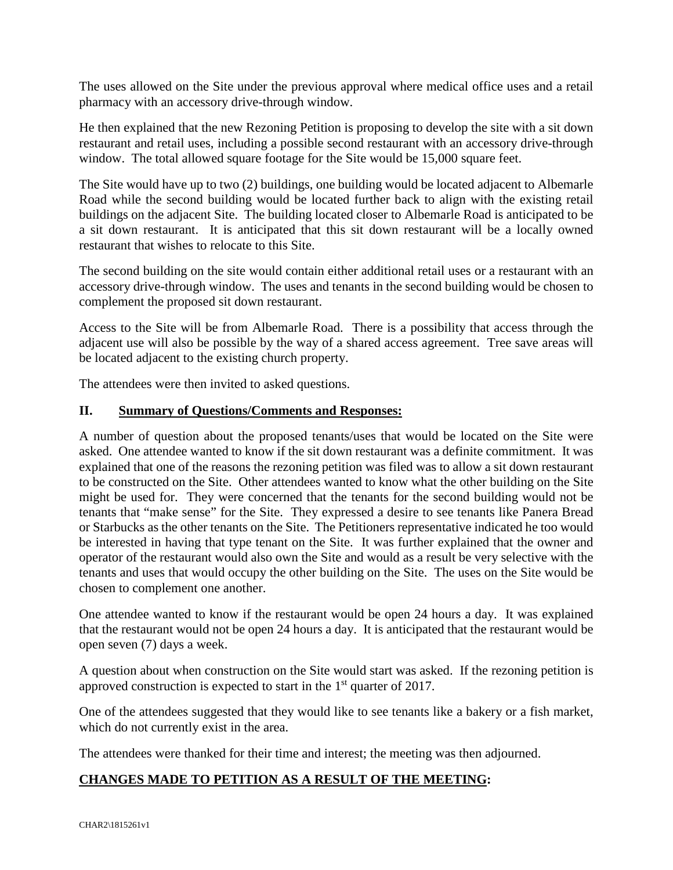The uses allowed on the Site under the previous approval where medical office uses and a retail pharmacy with an accessory drive-through window.

He then explained that the new Rezoning Petition is proposing to develop the site with a sit down restaurant and retail uses, including a possible second restaurant with an accessory drive-through window. The total allowed square footage for the Site would be 15,000 square feet.

The Site would have up to two (2) buildings, one building would be located adjacent to Albemarle Road while the second building would be located further back to align with the existing retail buildings on the adjacent Site. The building located closer to Albemarle Road is anticipated to be a sit down restaurant. It is anticipated that this sit down restaurant will be a locally owned restaurant that wishes to relocate to this Site.

The second building on the site would contain either additional retail uses or a restaurant with an accessory drive-through window. The uses and tenants in the second building would be chosen to complement the proposed sit down restaurant.

Access to the Site will be from Albemarle Road. There is a possibility that access through the adjacent use will also be possible by the way of a shared access agreement. Tree save areas will be located adjacent to the existing church property.

The attendees were then invited to asked questions.

### **II. Summary of Questions/Comments and Responses:**

A number of question about the proposed tenants/uses that would be located on the Site were asked. One attendee wanted to know if the sit down restaurant was a definite commitment. It was explained that one of the reasons the rezoning petition was filed was to allow a sit down restaurant to be constructed on the Site. Other attendees wanted to know what the other building on the Site might be used for. They were concerned that the tenants for the second building would not be tenants that "make sense" for the Site. They expressed a desire to see tenants like Panera Bread or Starbucks as the other tenants on the Site. The Petitioners representative indicated he too would be interested in having that type tenant on the Site. It was further explained that the owner and operator of the restaurant would also own the Site and would as a result be very selective with the tenants and uses that would occupy the other building on the Site. The uses on the Site would be chosen to complement one another.

One attendee wanted to know if the restaurant would be open 24 hours a day. It was explained that the restaurant would not be open 24 hours a day. It is anticipated that the restaurant would be open seven (7) days a week.

A question about when construction on the Site would start was asked. If the rezoning petition is approved construction is expected to start in the  $1<sup>st</sup>$  quarter of 2017.

One of the attendees suggested that they would like to see tenants like a bakery or a fish market, which do not currently exist in the area.

The attendees were thanked for their time and interest; the meeting was then adjourned.

## **CHANGES MADE TO PETITION AS A RESULT OF THE MEETING:**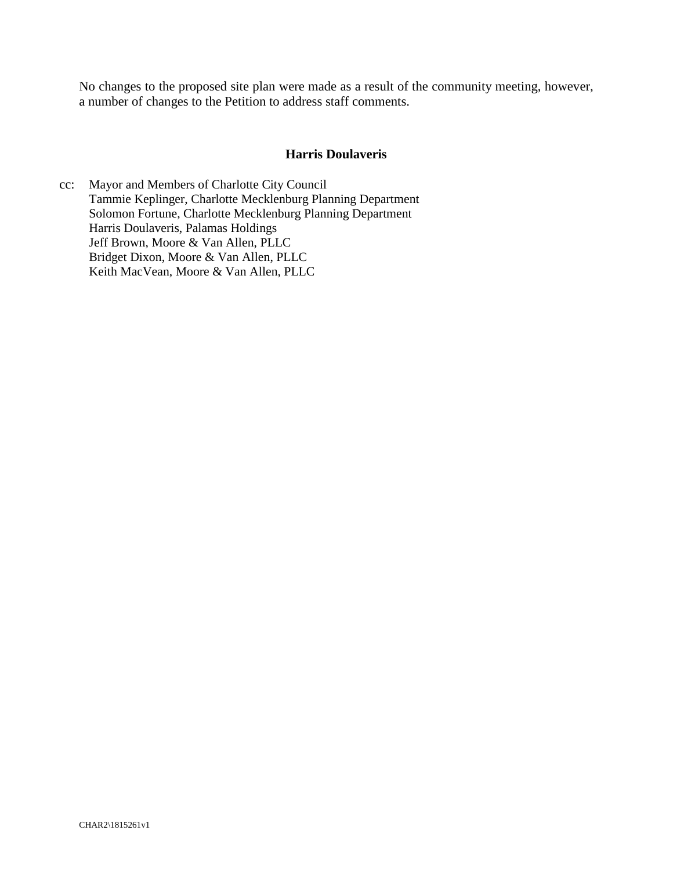No changes to the proposed site plan were made as a result of the community meeting, however, a number of changes to the Petition to address staff comments.

#### **Harris Doulaveris**

cc: Mayor and Members of Charlotte City Council Tammie Keplinger, Charlotte Mecklenburg Planning Department Solomon Fortune, Charlotte Mecklenburg Planning Department Harris Doulaveris, Palamas Holdings Jeff Brown, Moore & Van Allen, PLLC Bridget Dixon, Moore & Van Allen, PLLC Keith MacVean, Moore & Van Allen, PLLC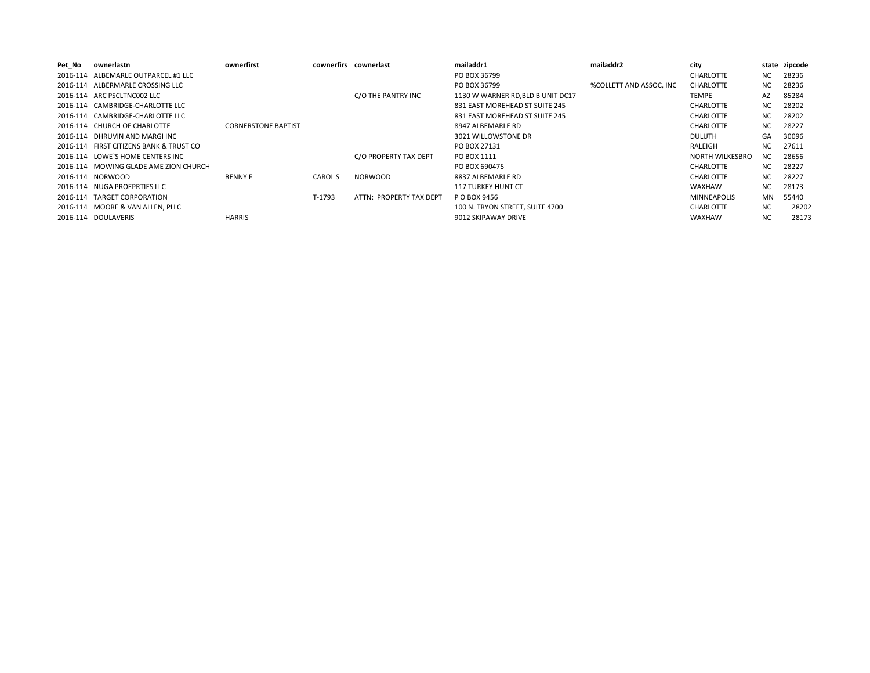| Pet No | ownerlastn                              | ownerfirst                 |                | cownerfirs cownerlast   | mailaddr1                         | mailaddr2               | city                   |           | state zipcode |
|--------|-----------------------------------------|----------------------------|----------------|-------------------------|-----------------------------------|-------------------------|------------------------|-----------|---------------|
|        | 2016-114 ALBEMARLE OUTPARCEL #1 LLC     |                            |                |                         | PO BOX 36799                      |                         | <b>CHARLOTTE</b>       | NC.       | 28236         |
|        | 2016-114 ALBERMARLE CROSSING LLC        |                            |                |                         | PO BOX 36799                      | %COLLETT AND ASSOC, INC | <b>CHARLOTTE</b>       | NC        | 28236         |
|        | 2016-114 ARC PSCLTNC002 LLC             |                            |                | C/O THE PANTRY INC      | 1130 W WARNER RD, BLD B UNIT DC17 |                         | TEMPE                  | AZ        | 85284         |
|        | 2016-114 CAMBRIDGE-CHARLOTTE LLC        |                            |                |                         | 831 EAST MOREHEAD ST SUITE 245    |                         | <b>CHARLOTTE</b>       | <b>NC</b> | 28202         |
|        | 2016-114 CAMBRIDGE-CHARLOTTE LLC        |                            |                |                         | 831 EAST MOREHEAD ST SUITE 245    |                         | <b>CHARLOTTE</b>       | NC.       | 28202         |
|        | 2016-114 CHURCH OF CHARLOTTE            | <b>CORNERSTONE BAPTIST</b> |                |                         | 8947 ALBEMARLE RD                 |                         | <b>CHARLOTTE</b>       | NC        | 28227         |
|        | 2016-114 DHRUVIN AND MARGI INC          |                            |                |                         | 3021 WILLOWSTONE DR               |                         | <b>DULUTH</b>          | GA        | 30096         |
|        | 2016-114 FIRST CITIZENS BANK & TRUST CO |                            |                |                         | PO BOX 27131                      |                         | RALEIGH                | ΝC        | 27611         |
|        | 2016-114 LOWE'S HOME CENTERS INC        |                            |                | C/O PROPERTY TAX DEPT   | PO BOX 1111                       |                         | <b>NORTH WILKESBRO</b> | <b>NC</b> | 28656         |
|        | 2016-114 MOWING GLADE AME ZION CHURCH   |                            |                |                         | PO BOX 690475                     |                         | <b>CHARLOTTE</b>       | NC.       | 28227         |
|        | 2016-114 NORWOOD                        | <b>BENNY F</b>             | <b>CAROL S</b> | <b>NORWOOD</b>          | 8837 ALBEMARLE RD                 |                         | <b>CHARLOTTE</b>       | NC        | 28227         |
|        | 2016-114 NUGA PROEPRTIES LLC            |                            |                |                         | <b>117 TURKEY HUNT CT</b>         |                         | <b>WAXHAW</b>          | <b>NC</b> | 28173         |
|        | 2016-114 TARGET CORPORATION             |                            | T-1793         | ATTN: PROPERTY TAX DEPT | P O BOX 9456                      |                         | <b>MINNEAPOLIS</b>     | <b>MN</b> | 55440         |
|        | 2016-114 MOORE & VAN ALLEN, PLLC        |                            |                |                         | 100 N. TRYON STREET, SUITE 4700   |                         | <b>CHARLOTTE</b>       | <b>NC</b> | 28202         |
|        | 2016-114 DOULAVERIS                     | <b>HARRIS</b>              |                |                         | 9012 SKIPAWAY DRIVE               |                         | <b>WAXHAW</b>          | <b>NC</b> | 28173         |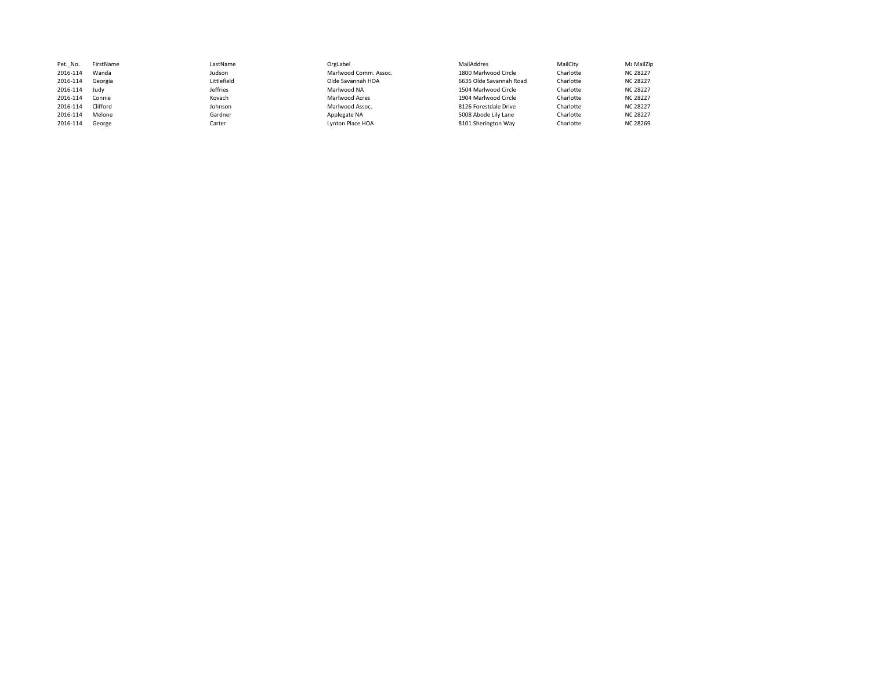| Pet. No. | FirstName | LastName    | OrgLabel              | MailAddres              | MailCity  | Mε MailZip      |
|----------|-----------|-------------|-----------------------|-------------------------|-----------|-----------------|
| 2016-114 | Wanda     | Judson      | Marlwood Comm. Assoc. | 1800 Marlwood Circle    | Charlotte | <b>NC 28227</b> |
| 2016-114 | Georgia   | Littlefield | Olde Savannah HOA     | 6635 Olde Savannah Road | Charlotte | <b>NC 28227</b> |
| 2016-114 | Judy      | Jeffries    | Marlwood NA           | 1504 Marlwood Circle    | Charlotte | <b>NC 28227</b> |
| 2016-114 | Connie    | Kovach      | Marlwood Acres        | 1904 Marlwood Circle    | Charlotte | <b>NC 28227</b> |
| 2016-114 | Clifford  | Johnson     | Marlwood Assoc.       | 8126 Forestdale Drive   | Charlotte | <b>NC 28227</b> |
| 2016-114 | Melone    | Gardner     | Applegate NA          | 5008 Abode Lily Lane    | Charlotte | <b>NC 28227</b> |
| 2016-114 | George    | Carter      | Lynton Place HOA      | 8101 Sherington Way     | Charlotte | <b>NC 28269</b> |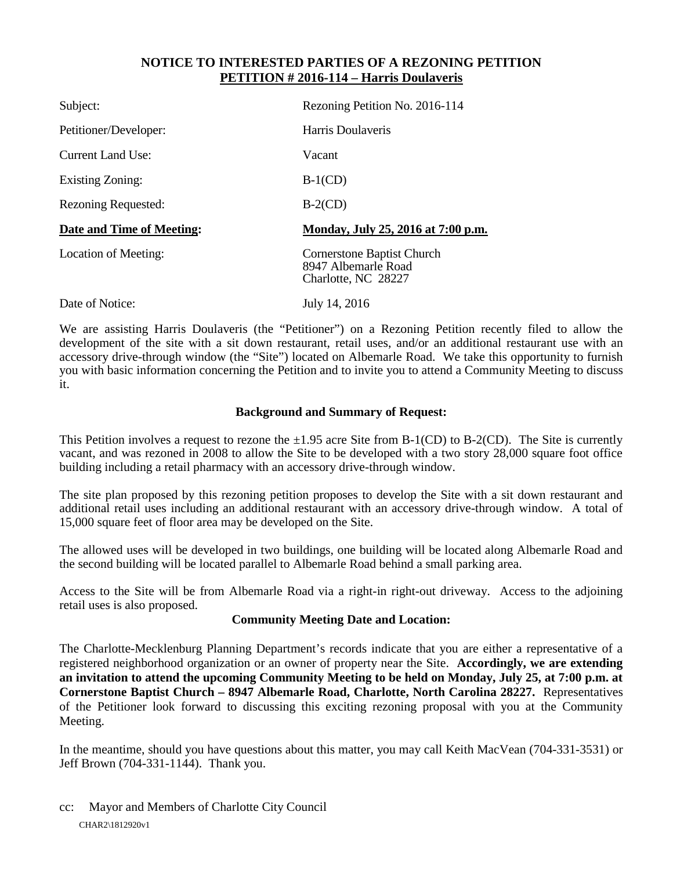### **NOTICE TO INTERESTED PARTIES OF A REZONING PETITION PETITION # 2016-114 – Harris Doulaveris**

| Subject:                   | Rezoning Petition No. 2016-114                                                  |
|----------------------------|---------------------------------------------------------------------------------|
| Petitioner/Developer:      | Harris Doulaveris                                                               |
| <b>Current Land Use:</b>   | Vacant                                                                          |
| <b>Existing Zoning:</b>    | $B-1(CD)$                                                                       |
| <b>Rezoning Requested:</b> | $B-2(CD)$                                                                       |
| Date and Time of Meeting:  | Monday, July 25, 2016 at 7:00 p.m.                                              |
| Location of Meeting:       | <b>Cornerstone Baptist Church</b><br>8947 Albemarle Road<br>Charlotte, NC 28227 |
| Date of Notice:            | July 14, 2016                                                                   |

We are assisting Harris Doulaveris (the "Petitioner") on a Rezoning Petition recently filed to allow the development of the site with a sit down restaurant, retail uses, and/or an additional restaurant use with an accessory drive-through window (the "Site") located on Albemarle Road. We take this opportunity to furnish you with basic information concerning the Petition and to invite you to attend a Community Meeting to discuss it.

#### **Background and Summary of Request:**

This Petition involves a request to rezone the  $\pm 1.95$  acre Site from B-1(CD) to B-2(CD). The Site is currently vacant, and was rezoned in 2008 to allow the Site to be developed with a two story 28,000 square foot office building including a retail pharmacy with an accessory drive-through window.

The site plan proposed by this rezoning petition proposes to develop the Site with a sit down restaurant and additional retail uses including an additional restaurant with an accessory drive-through window. A total of 15,000 square feet of floor area may be developed on the Site.

The allowed uses will be developed in two buildings, one building will be located along Albemarle Road and the second building will be located parallel to Albemarle Road behind a small parking area.

Access to the Site will be from Albemarle Road via a right-in right-out driveway. Access to the adjoining retail uses is also proposed.

### **Community Meeting Date and Location:**

The Charlotte-Mecklenburg Planning Department's records indicate that you are either a representative of a registered neighborhood organization or an owner of property near the Site. **Accordingly, we are extending an invitation to attend the upcoming Community Meeting to be held on Monday, July 25, at 7:00 p.m. at Cornerstone Baptist Church – 8947 Albemarle Road, Charlotte, North Carolina 28227.** Representatives of the Petitioner look forward to discussing this exciting rezoning proposal with you at the Community Meeting.

In the meantime, should you have questions about this matter, you may call Keith MacVean (704-331-3531) or Jeff Brown (704-331-1144). Thank you.

CHAR2\1812920v1 cc: Mayor and Members of Charlotte City Council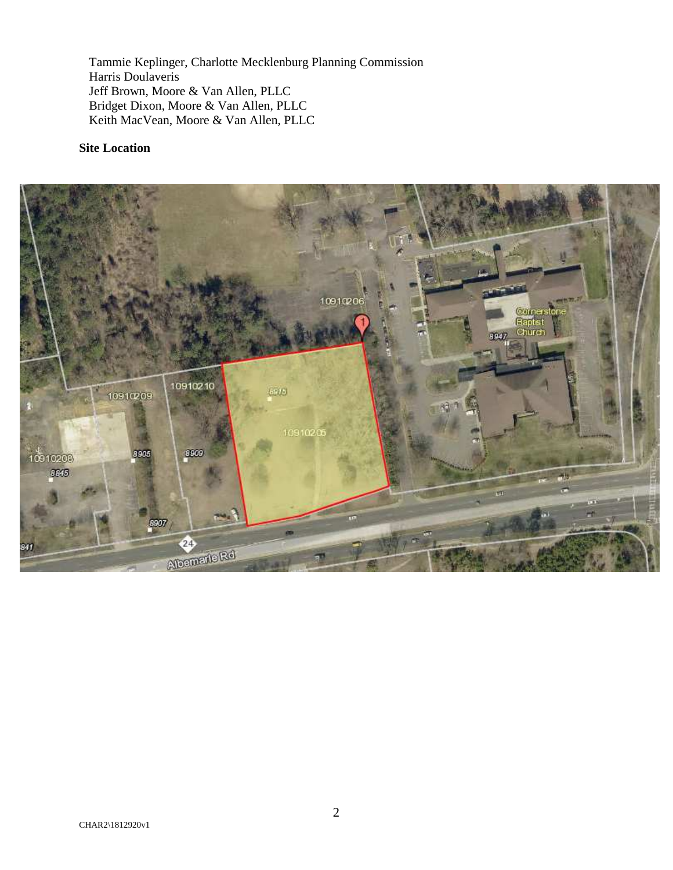Tammie Keplinger, Charlotte Mecklenburg Planning Commission Harris Doulaveris Jeff Brown, Moore & Van Allen, PLLC Bridget Dixon, Moore & Van Allen, PLLC Keith MacVean, Moore & Van Allen, PLLC

#### **Site Location**